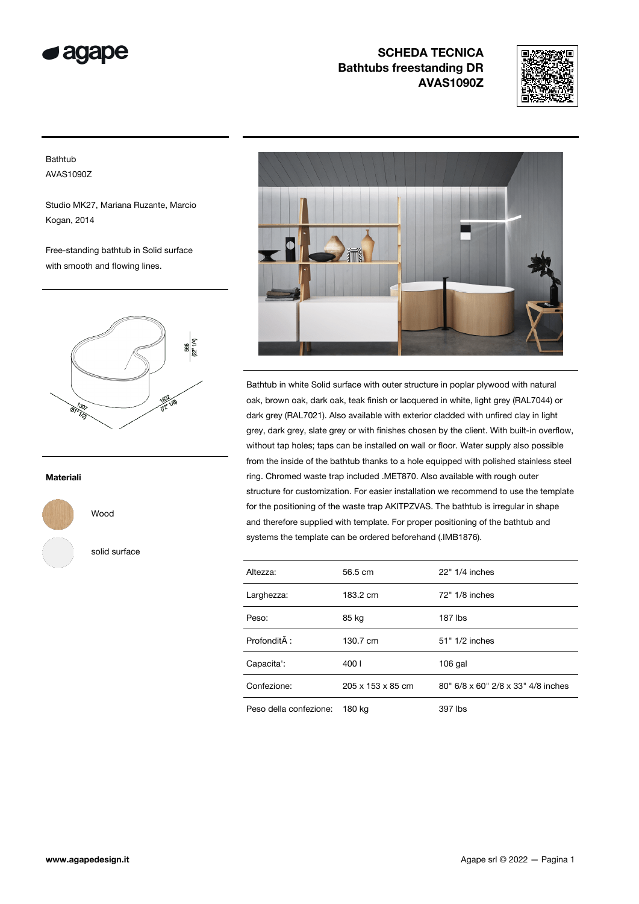



### Bathtub AVAS1090Z

Studio MK27, Mariana Ruzante, Marcio Kogan, 2014

Free-standing bathtub in Solid surface with smooth and flowing lines.



#### Materiali



Wood

solid surface



Bathtub in white Solid surface with outer structure in poplar plywood with natural oak, brown oak, dark oak, teak finish or lacquered in white, light grey (RAL7044) or dark grey (RAL7021). Also available with exterior cladded with unfired clay in light grey, dark grey, slate grey or with finishes chosen by the client. With built-in overflow, without tap holes; taps can be installed on wall or floor. Water supply also possible from the inside of the bathtub thanks to a hole equipped with polished stainless steel ring. Chromed waste trap included .MET870. Also available with rough outer structure for customization. For easier installation we recommend to use the template for the positioning of the waste trap AKITPZVAS. The bathtub is irregular in shape and therefore supplied with template. For proper positioning of the bathtub and systems the template can be ordered beforehand (.IMB1876).

| Altezza:               | 56.5 cm           | 22" 1/4 inches                     |
|------------------------|-------------------|------------------------------------|
| Larghezza:             | 183.2 cm          | 72" 1/8 inches                     |
| Peso:                  | 85 kg             | 187 lbs                            |
| Profondità :           | 130.7 cm          | 51" 1/2 inches                     |
| Capacita':             | 400 I             | $106$ gal                          |
| Confezione:            | 205 x 153 x 85 cm | 80" 6/8 x 60" 2/8 x 33" 4/8 inches |
| Peso della confezione: | 180 ka            | 397 lbs                            |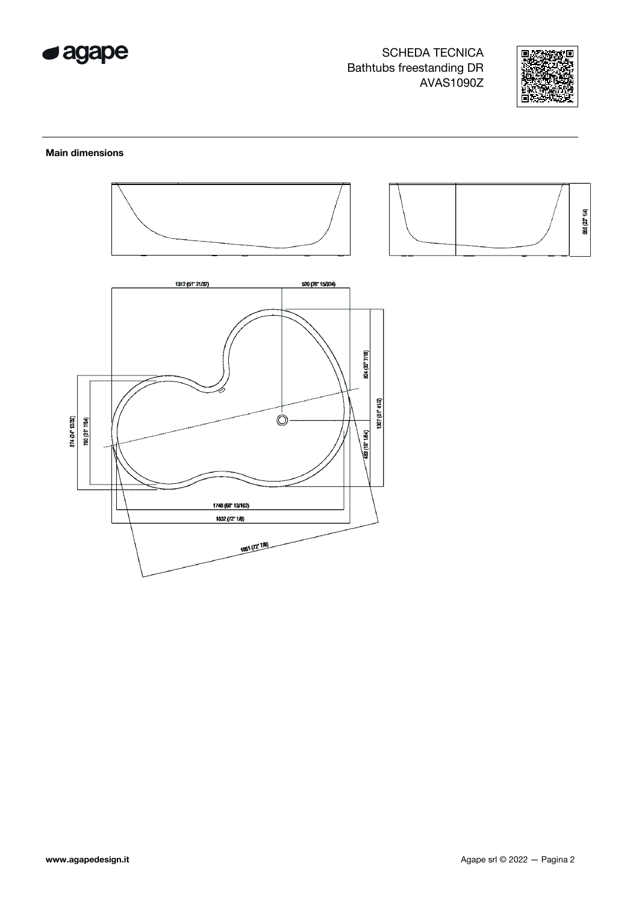



### **Main dimensions**





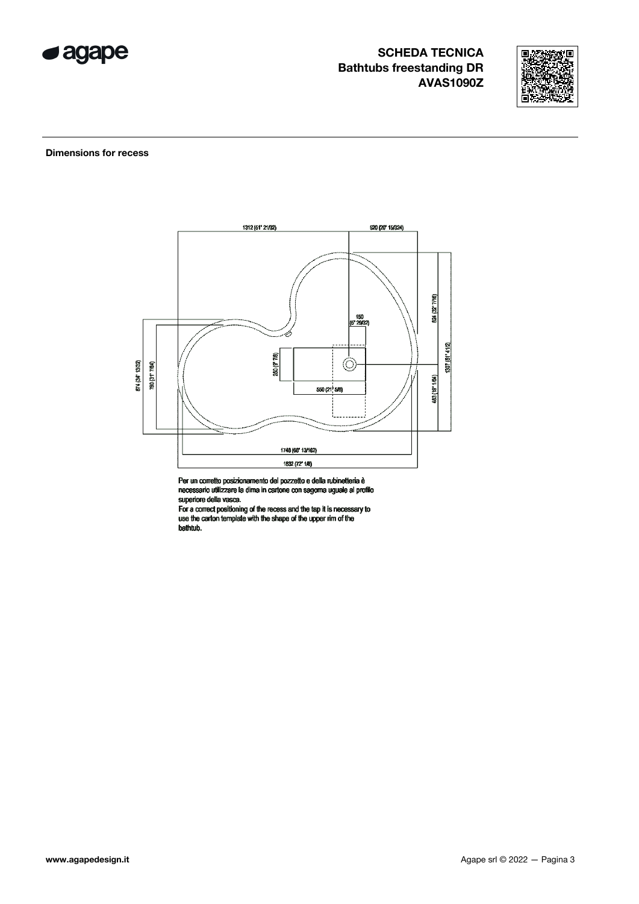



#### **Dimensions for recess**



Per un corretto posizionamento del pozzetto e della rubinetteria è<br>necessario utilizzare la dima in cartone con sagorna uguale al profilo<br>superiore della vasca.

For a correct positioning of the recess and the tap it is necessary to use the carton template with the shape of the upper rim of the bathtub.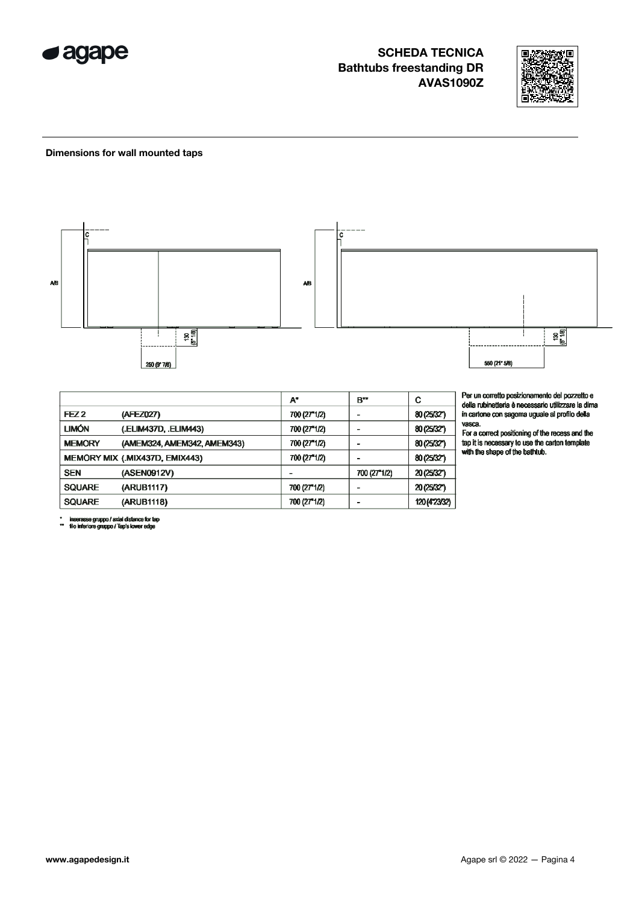



#### Dimensions for wall mounted taps



|                  |                                | $A^*$        | B**          | С             |
|------------------|--------------------------------|--------------|--------------|---------------|
| FEZ <sub>2</sub> | (AFEZ027)                      | 700 (27"1/2) |              | 80 (25/32")   |
| <b>LIMÓN</b>     | (.ELIM437D, .ELIM443)          | 700 (27"1/2) |              | 80 (25/32")   |
| <b>MEMORY</b>    | (AMEM324, AMEM342, AMEM343)    | 700 (27"1/2) |              | 80 (25/32")   |
|                  | MEMORY MIX (.MIX437D, EMIX443) | 700 (27"1/2) |              | 80 (25/32")   |
| <b>SEN</b>       | (ASEN0912V)                    |              | 700 (27"1/2) | 20 (25/32")   |
| <b>SQUARE</b>    | (ARUB1117)                     | 700 (27"1/2) |              | 20 (25/32")   |
| <b>SQUARE</b>    | (ARUB1118)                     | 700 (27"1/2) |              | 120 (4"23/32) |

Per un corretto posizionamento del pozzetto e<br>della rubinetteria è necessario utilizzare la dima<br>in cartone con sagoma uguale al profilo della

vasca.<br>For a correct positioning of the recess and the the control postcolling of the carton template<br>tap it is necessary to use the carton template<br>with the shape of the bathtub.

<sup>\*</sup> inserasse gruppo / axial distance for tap<br>\*\* file inferiore gruppo / Tap's lower edge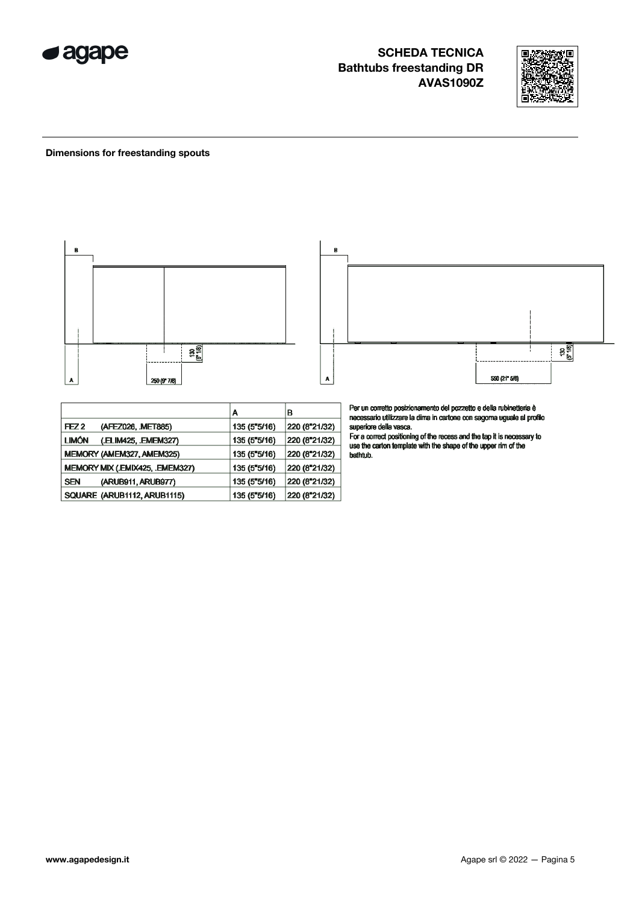



### **Dimensions for freestanding spouts**



|                                       | Α            | в             |
|---------------------------------------|--------------|---------------|
| FEZ <sub>2</sub><br>(AFEZ026, MET885) | 135 (5"5/16) | 220 (8"21/32) |
| <b>LIMÓN</b><br>(.ELIM425, .EMEM327)  | 135 (5"5/16) | 220 (8"21/32) |
| MEMORY (AMEM327, AMEM325)             | 135 (5"5/16) | 220 (8"21/32) |
| MEMORY MIX (.EMIX425, .EMEM327)       | 135 (5"5/16) | 220 (8"21/32) |
| <b>SEN</b><br>(ARUB911, ARUB977)      | 135 (5"5/16) | 220 (8"21/32) |
| SQUARE (ARUB1112, ARUB1115)           | 135 (5"5/16) | 220 (8"21/32) |

Per un corretto posizionamento del pozzetto e della rubinetteria è<br>necessario utilizzare la dima in cartone con sagoma uguale al profilo<br>superiore della vasca.<br>For a correct positioning of the recess and the tap it is nece

bathtub.